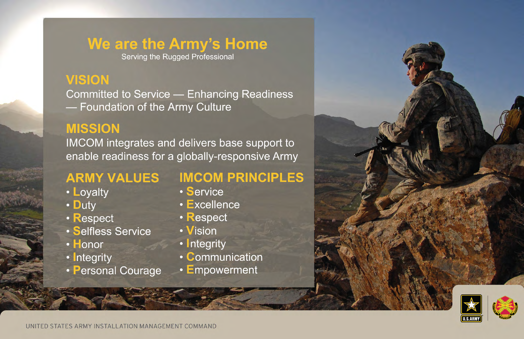#### We are the Army's Home

Serving the Rugged Professional

#### **VISION**

**Committed to Service — Enhancing Readiness** - Foundation of the Army Culture

#### **MISSION**

IMCOM integrates and delivers base support to enable readiness for a globally-responsive Army

- Loyalty
- Duty
- · Respect
- · Selfless Service
- · Honor
- Integrity
- Personal Courage

#### **ARMY VALUES IMCOM PRINCIPLES**

- · Service
- · Excellence
- · Respect
- Vision
- Integrity
- Communication
- Empowerment

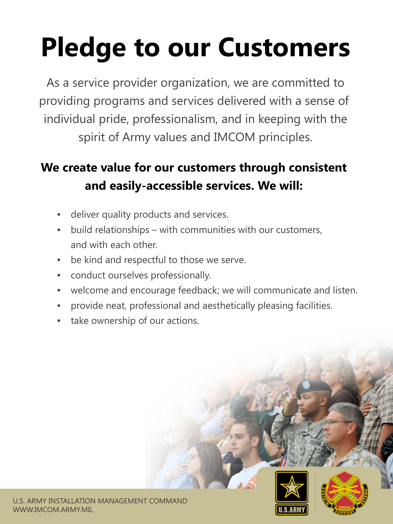# **Pledge to our Customers**

As a service provider organization, we are committed to providing programs and services delivered with a sense of individual pride, professionalism, and in keeping with the spirit of Army values and IMCOM principles.

### **We create value for our customers through consistent and easily-accessible services. We will:**

- deliver quality products and services.
- build relationships with communities with our customers, and with each other.
- be kind and respectful to those we serve.
- conduct ourselves professionally.
- welcome and encourage feedback; we will communicate and listen.
- provide neat, professional and aesthetically pleasing facilities.
- take ownership of our actions.



U.S. ARMY INSTALLATION MANAGEMENT COMMAND WWW.IMCOM.ARMY.MIL